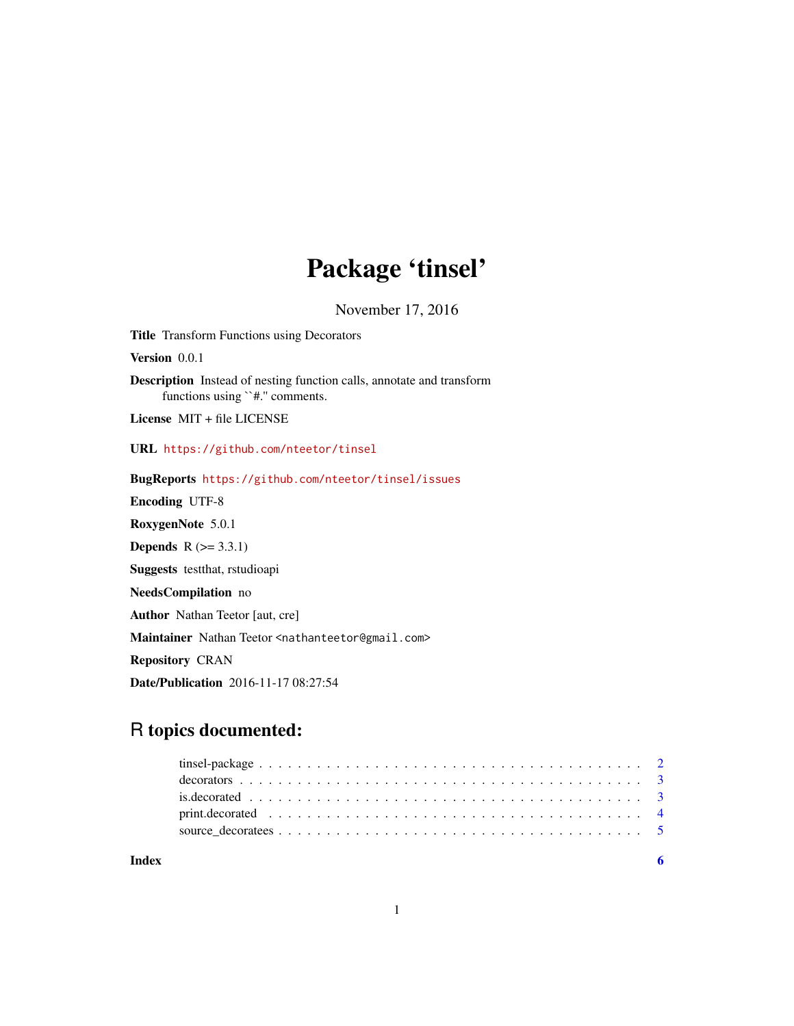# Package 'tinsel'

November 17, 2016

Title Transform Functions using Decorators

Version 0.0.1

Description Instead of nesting function calls, annotate and transform functions using ``#.'' comments.

License MIT + file LICENSE

URL <https://github.com/nteetor/tinsel>

BugReports <https://github.com/nteetor/tinsel/issues> Encoding UTF-8

RoxygenNote 5.0.1 **Depends**  $R$  ( $>= 3.3.1$ )

Suggests testthat, rstudioapi

NeedsCompilation no

Author Nathan Teetor [aut, cre]

Maintainer Nathan Teetor <nathanteetor@gmail.com>

Repository CRAN

Date/Publication 2016-11-17 08:27:54

# R topics documented:

| Index |  |
|-------|--|
|       |  |
|       |  |
|       |  |
|       |  |
|       |  |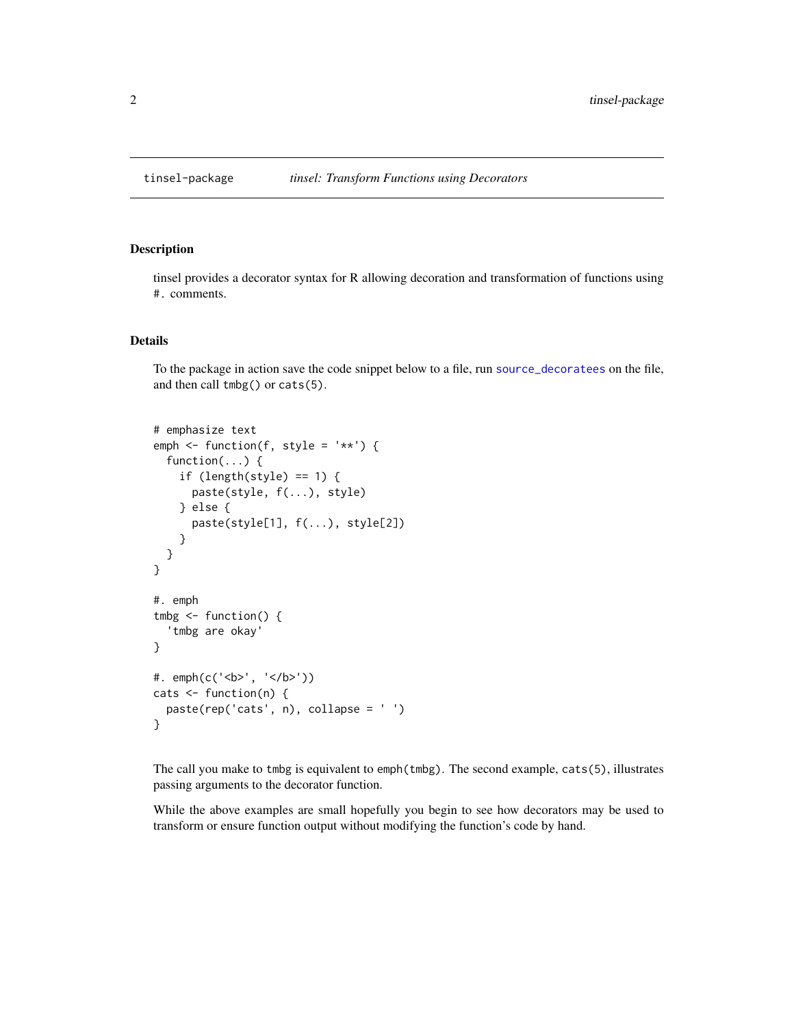<span id="page-1-0"></span>

#### Description

tinsel provides a decorator syntax for R allowing decoration and transformation of functions using #. comments.

#### Details

To the package in action save the code snippet below to a file, run [source\\_decoratees](#page-4-1) on the file, and then call tmbg() or cats(5).

```
# emphasize text
emph \le function(f, style = '**') {
  function(...) {
    if (length(style) == 1) {
      paste(style, f(...), style)
    } else {
      paste(style[1], f(...), style[2])
    }
  }
}
#. emph
tmbg \leftarrow function() {
  'tmbg are okay'
}
#. emph(c('<b>', '</b>'))
cats <- function(n) {
  paste(rep('cats', n), collapse = ' ')
}
```
The call you make to tmbg is equivalent to emph(tmbg). The second example, cats(5), illustrates passing arguments to the decorator function.

While the above examples are small hopefully you begin to see how decorators may be used to transform or ensure function output without modifying the function's code by hand.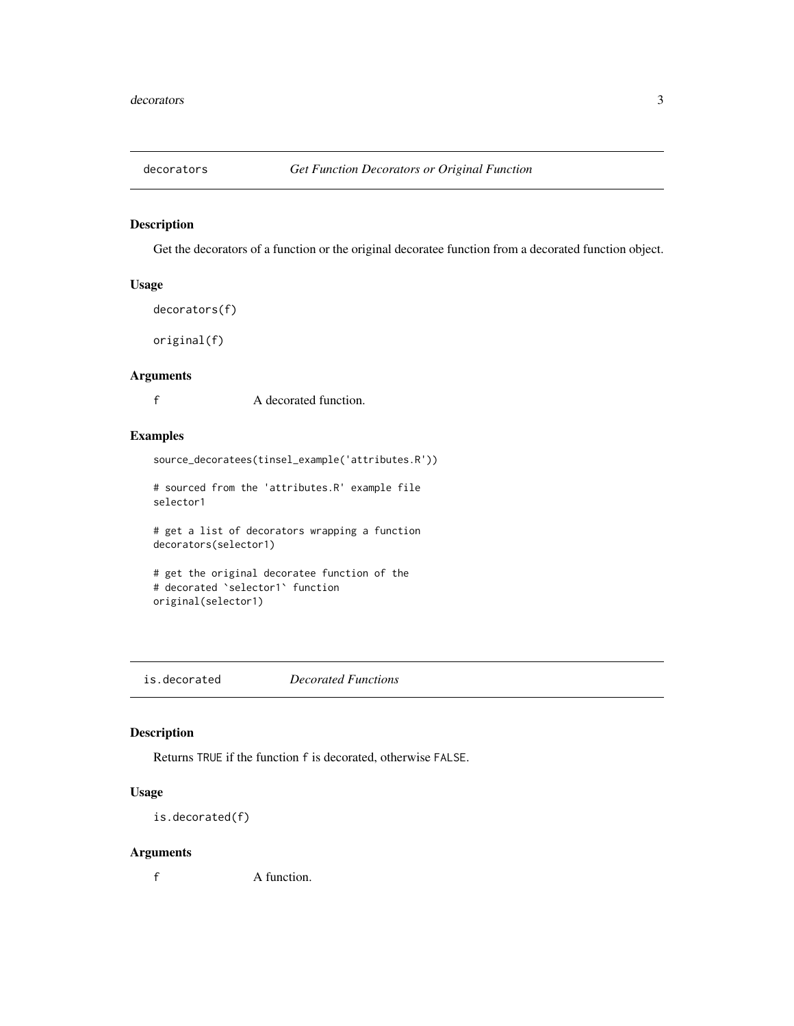<span id="page-2-2"></span><span id="page-2-0"></span>

#### <span id="page-2-1"></span>Description

Get the decorators of a function or the original decoratee function from a decorated function object.

# Usage

```
decorators(f)
```
original(f)

#### Arguments

f A decorated function.

# Examples

```
source_decoratees(tinsel_example('attributes.R'))
```
# sourced from the 'attributes.R' example file selector1

# get a list of decorators wrapping a function decorators(selector1)

```
# get the original decoratee function of the
# decorated `selector1` function
original(selector1)
```
is.decorated *Decorated Functions*

#### Description

Returns TRUE if the function f is decorated, otherwise FALSE.

# Usage

is.decorated(f)

# Arguments

f A function.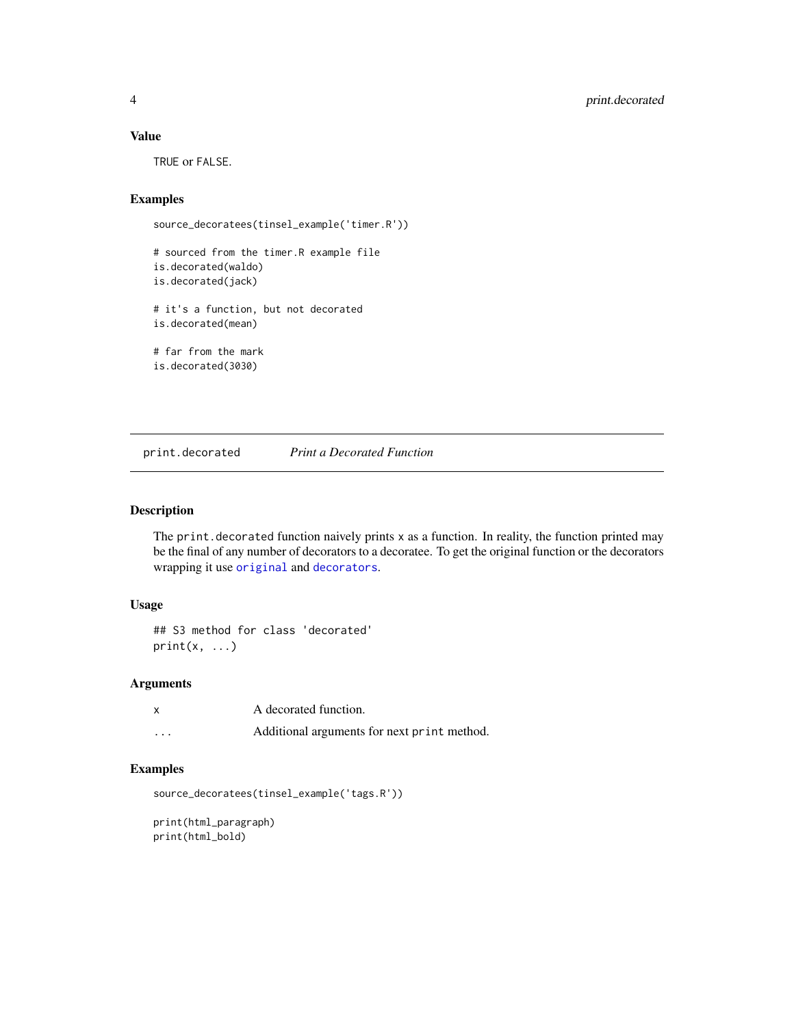# <span id="page-3-0"></span>Value

TRUE or FALSE.

# Examples

```
source_decoratees(tinsel_example('timer.R'))
```

```
# sourced from the timer.R example file
is.decorated(waldo)
is.decorated(jack)
# it's a function, but not decorated
is.decorated(mean)
# far from the mark
is.decorated(3030)
```
print.decorated *Print a Decorated Function*

#### Description

The print.decorated function naively prints  $x$  as a function. In reality, the function printed may be the final of any number of decorators to a decoratee. To get the original function or the decorators wrapping it use [original](#page-2-1) and [decorators](#page-2-2).

# Usage

```
## S3 method for class 'decorated'
print(x, \ldots)
```
#### Arguments

| x        | A decorated function.                       |
|----------|---------------------------------------------|
| $\cdots$ | Additional arguments for next print method. |

# Examples

```
source_decoratees(tinsel_example('tags.R'))
```
print(html\_paragraph) print(html\_bold)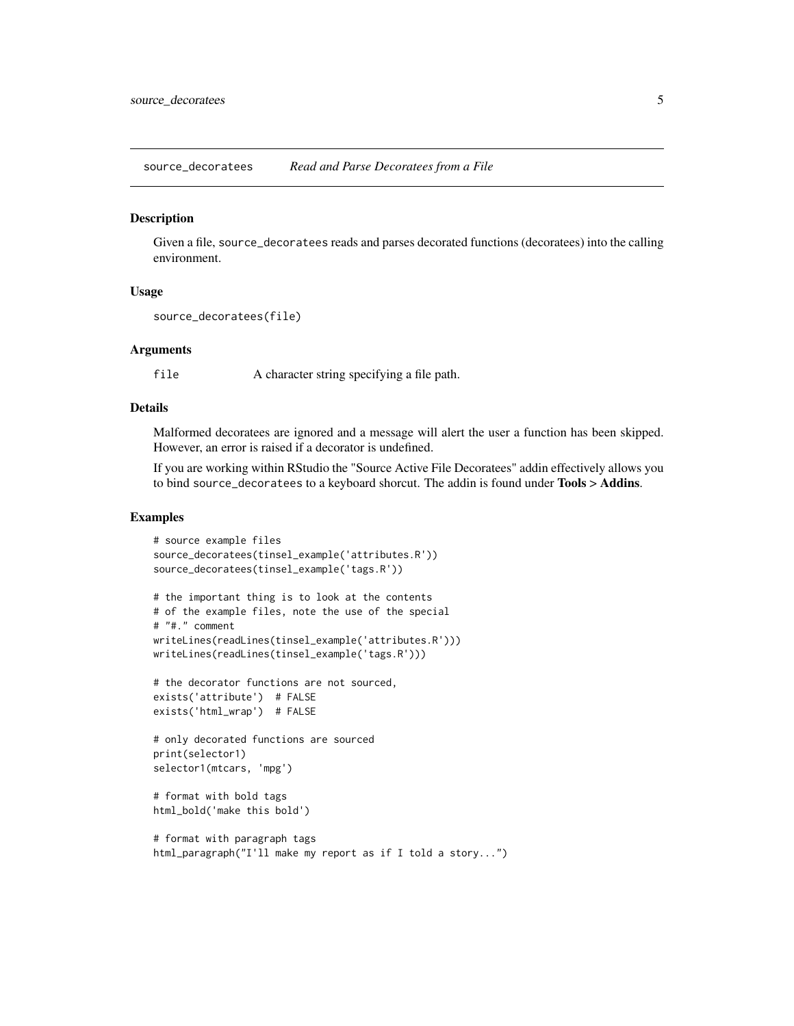<span id="page-4-1"></span><span id="page-4-0"></span>source\_decoratees *Read and Parse Decoratees from a File*

#### **Description**

Given a file, source\_decoratees reads and parses decorated functions (decoratees) into the calling environment.

# Usage

```
source_decoratees(file)
```
#### Arguments

file A character string specifying a file path.

### Details

Malformed decoratees are ignored and a message will alert the user a function has been skipped. However, an error is raised if a decorator is undefined.

If you are working within RStudio the "Source Active File Decoratees" addin effectively allows you to bind source\_decoratees to a keyboard shorcut. The addin is found under Tools > Addins.

#### Examples

```
# source example files
source_decoratees(tinsel_example('attributes.R'))
source_decoratees(tinsel_example('tags.R'))
# the important thing is to look at the contents
# of the example files, note the use of the special
# "#." comment
writeLines(readLines(tinsel_example('attributes.R')))
writeLines(readLines(tinsel_example('tags.R')))
# the decorator functions are not sourced,
exists('attribute') # FALSE
exists('html_wrap') # FALSE
# only decorated functions are sourced
print(selector1)
selector1(mtcars, 'mpg')
# format with bold tags
html_bold('make this bold')
# format with paragraph tags
html_paragraph("I'll make my report as if I told a story...")
```